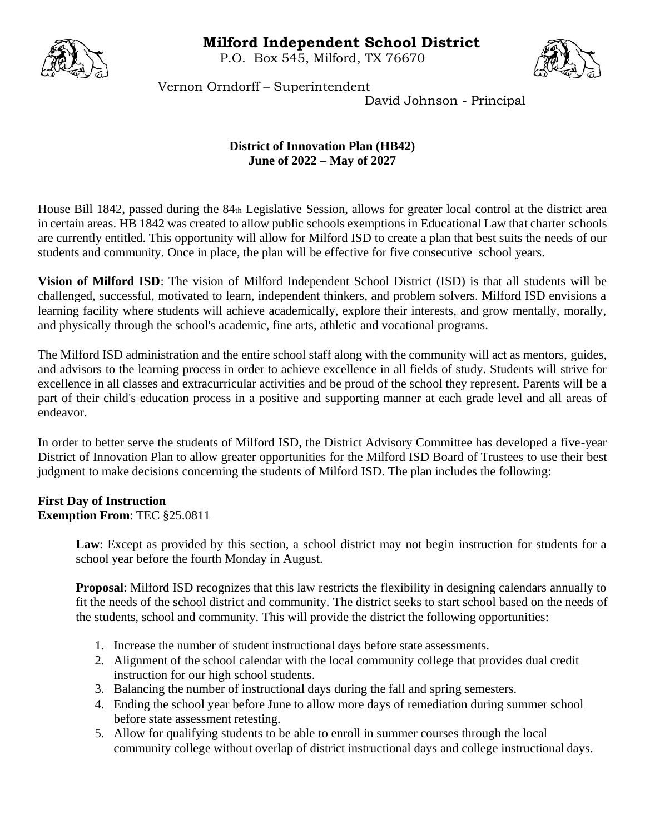## **Milford Independent School District**

P.O. Box 545, Milford, TX 76670





Vernon Orndorff – Superintendent

David Johnson - Principal

## **District of Innovation Plan (HB42) June of 2022 – May of 2027**

House Bill 1842, passed during the 84th Legislative Session, allows for greater local control at the district area in certain areas. HB 1842 was created to allow public schools exemptions in Educational Law that charter schools are currently entitled. This opportunity will allow for Milford ISD to create a plan that best suits the needs of our students and community. Once in place, the plan will be effective for five consecutive school years.

**Vision of Milford ISD**: The vision of Milford Independent School District (ISD) is that all students will be challenged, successful, motivated to learn, independent thinkers, and problem solvers. Milford ISD envisions a learning facility where students will achieve academically, explore their interests, and grow mentally, morally, and physically through the school's academic, fine arts, athletic and vocational programs.

The Milford ISD administration and the entire school staff along with the community will act as mentors, guides, and advisors to the learning process in order to achieve excellence in all fields of study. Students will strive for excellence in all classes and extracurricular activities and be proud of the school they represent. Parents will be a part of their child's education process in a positive and supporting manner at each grade level and all areas of endeavor.

In order to better serve the students of Milford ISD, the District Advisory Committee has developed a five-year District of Innovation Plan to allow greater opportunities for the Milford ISD Board of Trustees to use their best judgment to make decisions concerning the students of Milford ISD. The plan includes the following:

## **First Day of Instruction Exemption From**: TEC §25.0811

Law: Except as provided by this section, a school district may not begin instruction for students for a school year before the fourth Monday in August.

**Proposal**: Milford ISD recognizes that this law restricts the flexibility in designing calendars annually to fit the needs of the school district and community. The district seeks to start school based on the needs of the students, school and community. This will provide the district the following opportunities:

- 1. Increase the number of student instructional days before state assessments.
- 2. Alignment of the school calendar with the local community college that provides dual credit instruction for our high school students.
- 3. Balancing the number of instructional days during the fall and spring semesters.
- 4. Ending the school year before June to allow more days of remediation during summer school before state assessment retesting.
- 5. Allow for qualifying students to be able to enroll in summer courses through the local community college without overlap of district instructional days and college instructional days.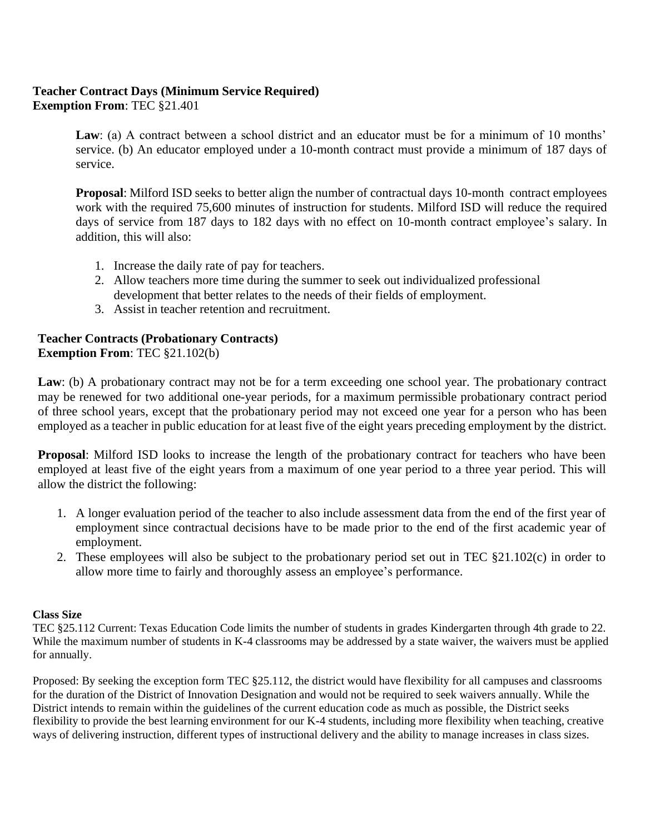# **Teacher Contract Days (Minimum Service Required)**

**Exemption From**: TEC §21.401

Law: (a) A contract between a school district and an educator must be for a minimum of 10 months' service. (b) An educator employed under a 10-month contract must provide a minimum of 187 days of service.

**Proposal**: Milford ISD seeks to better align the number of contractual days 10-month contract employees work with the required 75,600 minutes of instruction for students. Milford ISD will reduce the required days of service from 187 days to 182 days with no effect on 10-month contract employee's salary. In addition, this will also:

- 1. Increase the daily rate of pay for teachers.
- 2. Allow teachers more time during the summer to seek out individualized professional development that better relates to the needs of their fields of employment.
- 3. Assist in teacher retention and recruitment.

## **Teacher Contracts (Probationary Contracts) Exemption From**: TEC §21.102(b)

Law: (b) A probationary contract may not be for a term exceeding one school year. The probationary contract may be renewed for two additional one-year periods, for a maximum permissible probationary contract period of three school years, except that the probationary period may not exceed one year for a person who has been employed as a teacher in public education for at least five of the eight years preceding employment by the district.

**Proposal**: Milford ISD looks to increase the length of the probationary contract for teachers who have been employed at least five of the eight years from a maximum of one year period to a three year period. This will allow the district the following:

- 1. A longer evaluation period of the teacher to also include assessment data from the end of the first year of employment since contractual decisions have to be made prior to the end of the first academic year of employment.
- 2. These employees will also be subject to the probationary period set out in TEC §21.102(c) in order to allow more time to fairly and thoroughly assess an employee's performance.

## **Class Size**

TEC §25.112 Current: Texas Education Code limits the number of students in grades Kindergarten through 4th grade to 22. While the maximum number of students in K-4 classrooms may be addressed by a state waiver, the waivers must be applied for annually.

Proposed: By seeking the exception form TEC §25.112, the district would have flexibility for all campuses and classrooms for the duration of the District of Innovation Designation and would not be required to seek waivers annually. While the District intends to remain within the guidelines of the current education code as much as possible, the District seeks flexibility to provide the best learning environment for our K-4 students, including more flexibility when teaching, creative ways of delivering instruction, different types of instructional delivery and the ability to manage increases in class sizes.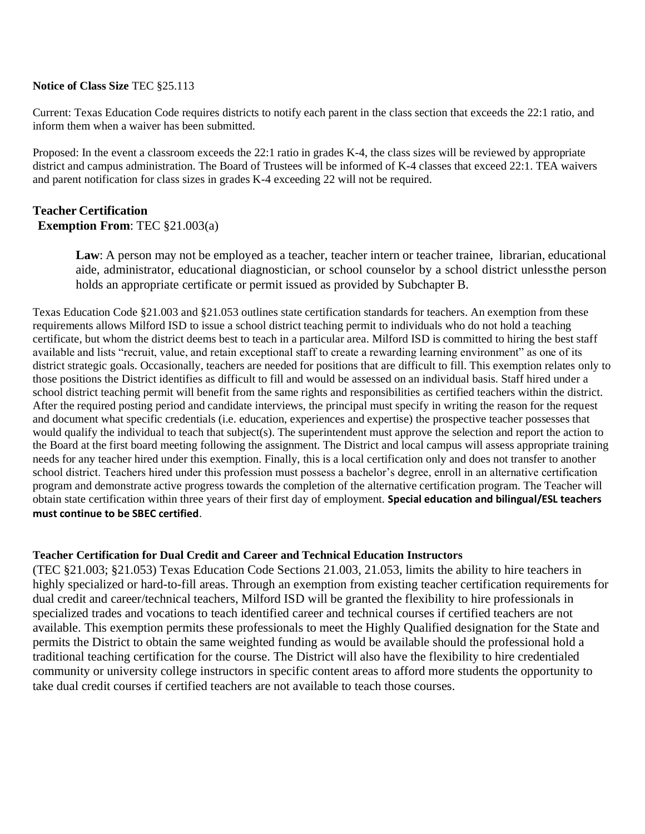#### **Notice of Class Size** TEC §25.113

Current: Texas Education Code requires districts to notify each parent in the class section that exceeds the 22:1 ratio, and inform them when a waiver has been submitted.

Proposed: In the event a classroom exceeds the 22:1 ratio in grades K-4, the class sizes will be reviewed by appropriate district and campus administration. The Board of Trustees will be informed of K-4 classes that exceed 22:1. TEA waivers and parent notification for class sizes in grades K-4 exceeding 22 will not be required.

# **Teacher Certification**

**Exemption From**: TEC §21.003(a)

Law: A person may not be employed as a teacher, teacher intern or teacher trainee, librarian, educational aide, administrator, educational diagnostician, or school counselor by a school district unlessthe person holds an appropriate certificate or permit issued as provided by Subchapter B.

Texas Education Code §21.003 and §21.053 outlines state certification standards for teachers. An exemption from these requirements allows Milford ISD to issue a school district teaching permit to individuals who do not hold a teaching certificate, but whom the district deems best to teach in a particular area. Milford ISD is committed to hiring the best staff available and lists "recruit, value, and retain exceptional staff to create a rewarding learning environment" as one of its district strategic goals. Occasionally, teachers are needed for positions that are difficult to fill. This exemption relates only to those positions the District identifies as difficult to fill and would be assessed on an individual basis. Staff hired under a school district teaching permit will benefit from the same rights and responsibilities as certified teachers within the district. After the required posting period and candidate interviews, the principal must specify in writing the reason for the request and document what specific credentials (i.e. education, experiences and expertise) the prospective teacher possesses that would qualify the individual to teach that subject(s). The superintendent must approve the selection and report the action to the Board at the first board meeting following the assignment. The District and local campus will assess appropriate training needs for any teacher hired under this exemption. Finally, this is a local certification only and does not transfer to another school district. Teachers hired under this profession must possess a bachelor's degree, enroll in an alternative certification program and demonstrate active progress towards the completion of the alternative certification program. The Teacher will obtain state certification within three years of their first day of employment. **Special education and bilingual/ESL teachers must continue to be SBEC certified**.

## **Teacher Certification for Dual Credit and Career and Technical Education Instructors**

(TEC §21.003; §21.053) Texas Education Code Sections 21.003, 21.053, limits the ability to hire teachers in highly specialized or hard-to-fill areas. Through an exemption from existing teacher certification requirements for dual credit and career/technical teachers, Milford ISD will be granted the flexibility to hire professionals in specialized trades and vocations to teach identified career and technical courses if certified teachers are not available. This exemption permits these professionals to meet the Highly Qualified designation for the State and permits the District to obtain the same weighted funding as would be available should the professional hold a traditional teaching certification for the course. The District will also have the flexibility to hire credentialed community or university college instructors in specific content areas to afford more students the opportunity to take dual credit courses if certified teachers are not available to teach those courses.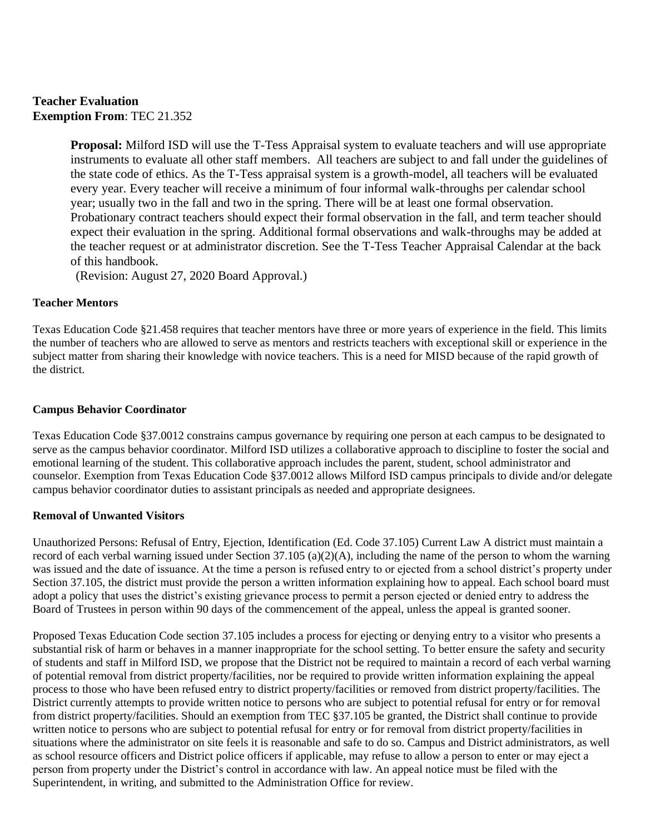## **Teacher Evaluation Exemption From**: TEC 21.352

**Proposal:** Milford ISD will use the T-Tess Appraisal system to evaluate teachers and will use appropriate instruments to evaluate all other staff members. All teachers are subject to and fall under the guidelines of the state code of ethics. As the T-Tess appraisal system is a growth-model, all teachers will be evaluated every year. Every teacher will receive a minimum of four informal walk-throughs per calendar school year; usually two in the fall and two in the spring. There will be at least one formal observation. Probationary contract teachers should expect their formal observation in the fall, and term teacher should expect their evaluation in the spring. Additional formal observations and walk-throughs may be added at the teacher request or at administrator discretion. See the T-Tess Teacher Appraisal Calendar at the back of this handbook.

(Revision: August 27, 2020 Board Approval.)

#### **Teacher Mentors**

Texas Education Code §21.458 requires that teacher mentors have three or more years of experience in the field. This limits the number of teachers who are allowed to serve as mentors and restricts teachers with exceptional skill or experience in the subject matter from sharing their knowledge with novice teachers. This is a need for MISD because of the rapid growth of the district.

#### **Campus Behavior Coordinator**

Texas Education Code §37.0012 constrains campus governance by requiring one person at each campus to be designated to serve as the campus behavior coordinator. Milford ISD utilizes a collaborative approach to discipline to foster the social and emotional learning of the student. This collaborative approach includes the parent, student, school administrator and counselor. Exemption from Texas Education Code §37.0012 allows Milford ISD campus principals to divide and/or delegate campus behavior coordinator duties to assistant principals as needed and appropriate designees.

#### **Removal of Unwanted Visitors**

Unauthorized Persons: Refusal of Entry, Ejection, Identification (Ed. Code 37.105) Current Law A district must maintain a record of each verbal warning issued under Section 37.105 (a)(2)(A), including the name of the person to whom the warning was issued and the date of issuance. At the time a person is refused entry to or ejected from a school district's property under Section 37.105, the district must provide the person a written information explaining how to appeal. Each school board must adopt a policy that uses the district's existing grievance process to permit a person ejected or denied entry to address the Board of Trustees in person within 90 days of the commencement of the appeal, unless the appeal is granted sooner.

Proposed Texas Education Code section 37.105 includes a process for ejecting or denying entry to a visitor who presents a substantial risk of harm or behaves in a manner inappropriate for the school setting. To better ensure the safety and security of students and staff in Milford ISD, we propose that the District not be required to maintain a record of each verbal warning of potential removal from district property/facilities, nor be required to provide written information explaining the appeal process to those who have been refused entry to district property/facilities or removed from district property/facilities. The District currently attempts to provide written notice to persons who are subject to potential refusal for entry or for removal from district property/facilities. Should an exemption from TEC §37.105 be granted, the District shall continue to provide written notice to persons who are subject to potential refusal for entry or for removal from district property/facilities in situations where the administrator on site feels it is reasonable and safe to do so. Campus and District administrators, as well as school resource officers and District police officers if applicable, may refuse to allow a person to enter or may eject a person from property under the District's control in accordance with law. An appeal notice must be filed with the Superintendent, in writing, and submitted to the Administration Office for review.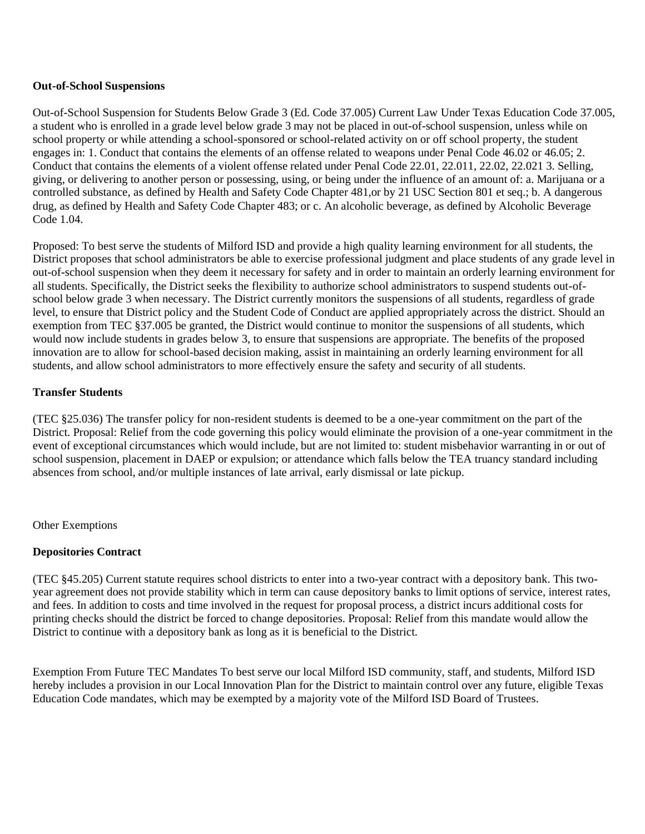#### **Out-of-School Suspensions**

Out-of-School Suspension for Students Below Grade 3 (Ed. Code 37.005) Current Law Under Texas Education Code 37.005, a student who is enrolled in a grade level below grade 3 may not be placed in out-of-school suspension, unless while on school property or while attending a school-sponsored or school-related activity on or off school property, the student engages in: 1. Conduct that contains the elements of an offense related to weapons under Penal Code 46.02 or 46.05; 2. Conduct that contains the elements of a violent offense related under Penal Code 22.01, 22.011, 22.02, 22.021 3. Selling, giving, or delivering to another person or possessing, using, or being under the influence of an amount of: a. Marijuana or a controlled substance, as defined by Health and Safety Code Chapter 481, or by 21 USC Section 801 et seq.; b. A dangerous drug, as defined by Health and Safety Code Chapter 483; or c. An alcoholic beverage, as defined by Alcoholic Beverage Code 1.04.

Proposed: To best serve the students of Milford ISD and provide a high quality learning environment for all students, the District proposes that school administrators be able to exercise professional judgment and place students of any grade level in out-of-school suspension when they deem it necessary for safety and in order to maintain an orderly learning environment for all students. Specifically, the District seeks the flexibility to authorize school administrators to suspend students out-ofschool below grade 3 when necessary. The District currently monitors the suspensions of all students, regardless of grade level, to ensure that District policy and the Student Code of Conduct are applied appropriately across the district. Should an exemption from TEC §37.005 be granted, the District would continue to monitor the suspensions of all students, which would now include students in grades below 3, to ensure that suspensions are appropriate. The benefits of the proposed innovation are to allow for school-based decision making, assist in maintaining an orderly learning environment for all students, and allow school administrators to more effectively ensure the safety and security of all students.

#### **Transfer Students**

(TEC §25.036) The transfer policy for non-resident students is deemed to be a one-year commitment on the part of the District. Proposal: Relief from the code governing this policy would eliminate the provision of a one-year commitment in the event of exceptional circumstances which would include, but are not limited to: student misbehavior warranting in or out of school suspension, placement in DAEP or expulsion; or attendance which falls below the TEA truancy standard including absences from school, and/or multiple instances of late arrival, early dismissal or late pickup.

Other Exemptions

## **Depositories Contract**

(TEC §45.205) Current statute requires school districts to enter into a two-year contract with a depository bank. This twoyear agreement does not provide stability which in term can cause depository banks to limit options of service, interest rates, and fees. In addition to costs and time involved in the request for proposal process, a district incurs additional costs for printing checks should the district be forced to change depositories. Proposal: Relief from this mandate would allow the District to continue with a depository bank as long as it is beneficial to the District.

Exemption From Future TEC Mandates To best serve our local Milford ISD community, staff, and students, Milford ISD hereby includes a provision in our Local Innovation Plan for the District to maintain control over any future, eligible Texas Education Code mandates, which may be exempted by a majority vote of the Milford ISD Board of Trustees.